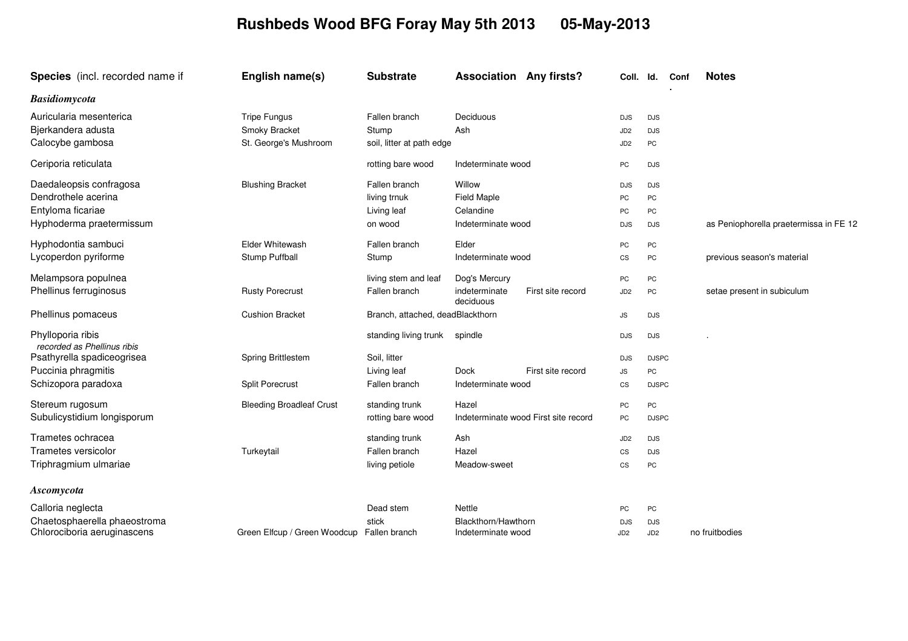## **Rushbeds Wood BFG Foray May 5th 2013 05-May-2013**

| Species (incl. recorded name if                                                                 | English name(s)                                               | <b>Substrate</b>                                        | <b>Association Any firsts?</b>                                  |                   | Coll.                                            | ld.<br>Conf                          | <b>Notes</b>                           |
|-------------------------------------------------------------------------------------------------|---------------------------------------------------------------|---------------------------------------------------------|-----------------------------------------------------------------|-------------------|--------------------------------------------------|--------------------------------------|----------------------------------------|
| <b>Basidiomycota</b>                                                                            |                                                               |                                                         |                                                                 |                   |                                                  |                                      |                                        |
| Auricularia mesenterica<br>Bjerkandera adusta<br>Calocybe gambosa                               | <b>Tripe Fungus</b><br>Smoky Bracket<br>St. George's Mushroom | Fallen branch<br>Stump<br>soil, litter at path edge     | Deciduous<br>Ash                                                |                   | <b>DJS</b><br>JD <sub>2</sub><br>JD <sub>2</sub> | <b>DJS</b><br><b>DJS</b><br>PC       |                                        |
| Ceriporia reticulata                                                                            |                                                               | rotting bare wood                                       | Indeterminate wood                                              |                   | PC                                               | <b>DJS</b>                           |                                        |
| Daedaleopsis confragosa<br>Dendrothele acerina<br>Entyloma ficariae<br>Hyphoderma praetermissum | <b>Blushing Bracket</b>                                       | Fallen branch<br>living trnuk<br>Living leaf<br>on wood | Willow<br><b>Field Maple</b><br>Celandine<br>Indeterminate wood |                   | <b>DJS</b><br>PC<br>PC<br><b>DJS</b>             | <b>DJS</b><br>PC<br>PC<br><b>DJS</b> | as Peniophorella praetermissa in FE 12 |
| Hyphodontia sambuci<br>Lycoperdon pyriforme                                                     | <b>Elder Whitewash</b><br>Stump Puffball                      | Fallen branch<br>Stump                                  | Elder<br>Indeterminate wood                                     |                   | PC<br>CS                                         | PC<br>PC                             | previous season's material             |
| Melampsora populnea<br>Phellinus ferruginosus                                                   | <b>Rusty Porecrust</b>                                        | living stem and leaf<br>Fallen branch                   | Dog's Mercury<br>indeterminate<br>deciduous                     | First site record | PC<br>JD <sub>2</sub>                            | PC<br>PC                             | setae present in subiculum             |
| Phellinus pomaceus                                                                              | <b>Cushion Bracket</b>                                        | Branch, attached, deadBlackthorn                        |                                                                 |                   | JS                                               | <b>DJS</b>                           |                                        |
| Phylloporia ribis<br>recorded as Phellinus ribis                                                |                                                               | standing living trunk                                   | spindle                                                         |                   | <b>DJS</b>                                       | <b>DJS</b>                           |                                        |
| Psathyrella spadiceogrisea<br>Puccinia phragmitis<br>Schizopora paradoxa                        | Spring Brittlestem<br><b>Split Porecrust</b>                  | Soil, litter<br>Living leaf<br>Fallen branch            | Dock<br>Indeterminate wood                                      | First site record | <b>DJS</b><br>JS<br>CS                           | <b>DJSPC</b><br>PC<br><b>DJSPC</b>   |                                        |
| Stereum rugosum                                                                                 | <b>Bleeding Broadleaf Crust</b>                               | standing trunk                                          | Hazel<br>Indeterminate wood First site record                   |                   | PC                                               | PC                                   |                                        |
| Subulicystidium longisporum<br>Trametes ochracea                                                |                                                               | rotting bare wood<br>standing trunk                     | Ash                                                             |                   | PC<br>JD <sub>2</sub>                            | <b>DJSPC</b><br><b>DJS</b>           |                                        |
| Trametes versicolor<br>Triphragmium ulmariae                                                    | Turkeytail                                                    | Fallen branch<br>living petiole                         | Hazel<br>Meadow-sweet                                           |                   | CS<br>CS                                         | <b>DJS</b><br>PC                     |                                        |
| <b>Ascomycota</b>                                                                               |                                                               |                                                         |                                                                 |                   |                                                  |                                      |                                        |
| Calloria neglecta<br>Chaetosphaerella phaeostroma<br>Chlorociboria aeruginascens                | Green Elfcup / Green Woodcup Fallen branch                    | Dead stem<br>stick                                      | Nettle<br>Blackthorn/Hawthorn<br>Indeterminate wood             |                   | PC<br><b>DJS</b><br>JD <sub>2</sub>              | PC<br><b>DJS</b><br>JD <sub>2</sub>  | no fruitbodies                         |
|                                                                                                 |                                                               |                                                         |                                                                 |                   |                                                  |                                      |                                        |